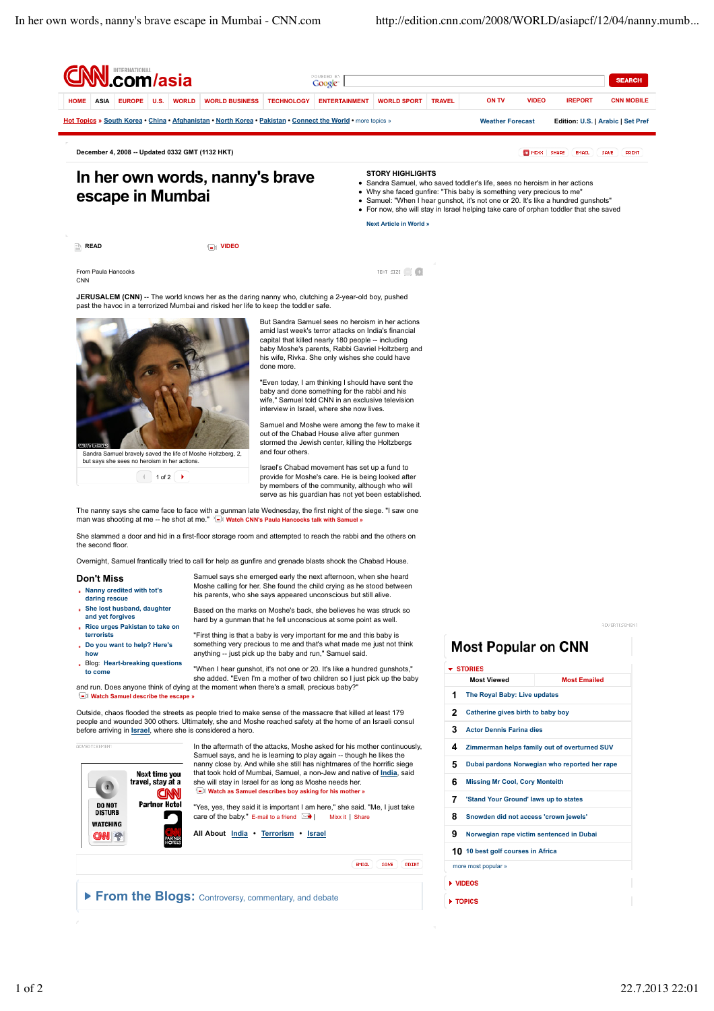